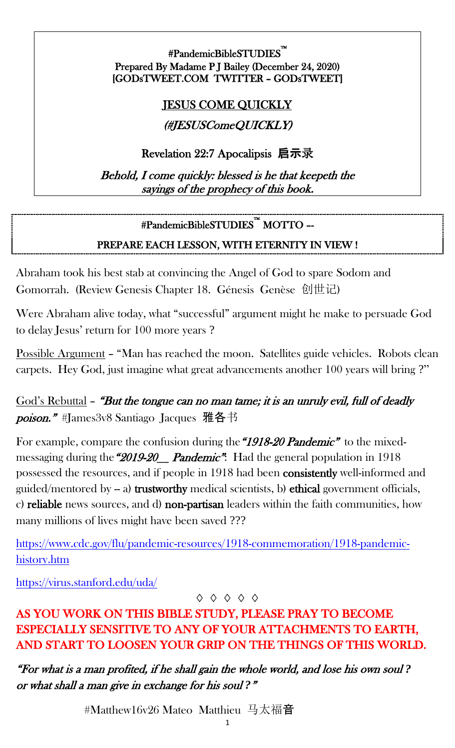#PandemicBibleSTUDIES™ i<br>L Prepared By Madame P J Bailey (December 24, 2020) [GODsTWEET.COM TWITTER – GODsTWEET]

#### JESUS COME QUICKLY

#### (#JESUSComeQUICKLY)

Revelation 22:7 Apocalipsis 启示录

Behold, I come quickly: blessed is he that keepeth the sayings of the prophecy of this book.

# #PandemicBibleSTUDIES™ MOTTO –-

#### PREPARE EACH LESSON, WITH ETERNITY IN VIEW !

Abraham took his best stab at convincing the Angel of God to spare Sodom and Gomorrah. (Review Genesis Chapter 18. Génesis Genèse 创世记)

Were Abraham alive today, what "successful" argument might he make to persuade God to delay Jesus' return for 100 more years ?

Possible Argument – "Man has reached the moon. Satellites guide vehicles. Robots clean carpets. Hey God, just imagine what great advancements another 100 years will bring ?"

God's Rebuttal – "But the tongue can no man tame; it is an unruly evil, full of deadly poison." #James3v8 Santiago Jacques 雅各书

For example, compare the confusion during the "1918-20 Pandemic" to the mixedmessaging during the "2019-20\_ Pandemic": Had the general population in 1918 possessed the resources, and if people in 1918 had been consistently well-informed and guided/mentored by  $-$  a) trustworthy medical scientists, b) ethical government officials, c) reliable news sources, and d) non-partisan leaders within the faith communities, how many millions of lives might have been saved ???

[https://www.cdc.gov/flu/pandemic-resources/1918-commemoration/1918-pandemic](https://www.cdc.gov/flu/pandemic-resources/1918-commemoration/1918-pandemic-history.htm)[history.htm](https://www.cdc.gov/flu/pandemic-resources/1918-commemoration/1918-pandemic-history.htm)

<https://virus.stanford.edu/uda/>

#### ◊ ◊ ◊ ◊ ◊

## AS YOU WORK ON THIS BIBLE STUDY, PLEASE PRAY TO BECOME ESPECIALLY SENSITIVE TO ANY OF YOUR ATTACHMENTS TO EARTH, AND START TO LOOSEN YOUR GRIP ON THE THINGS OF THIS WORLD.

"For what is a man profited, if he shall gain the whole world, and lose his own soul *?*  or what shall a man give in exchange for his soul *?*"

#Matthew16v26 Mateo Matthieu 马太福音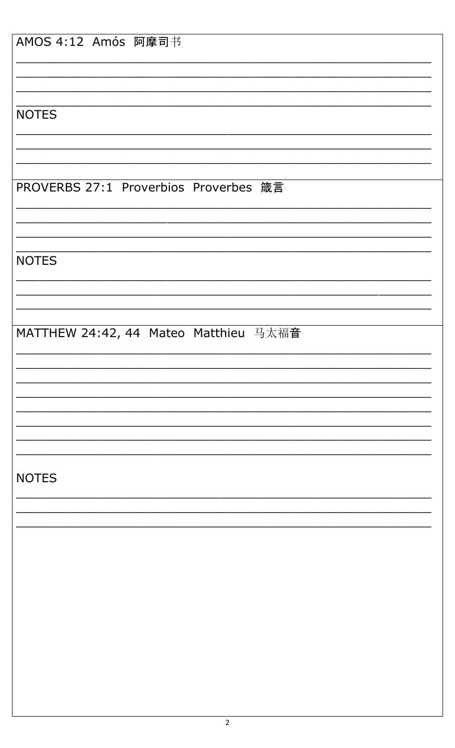| AMOS 4:12 Amós 阿摩司书                   |
|---------------------------------------|
|                                       |
|                                       |
| <b>NOTES</b>                          |
|                                       |
|                                       |
| PROVERBS 27:1 Proverbios Proverbes 箴言 |
|                                       |
|                                       |
| <b>NOTES</b>                          |
|                                       |
|                                       |
| MATTHEW 24:42, 44 Mateo Matthieu 马太福音 |
|                                       |
|                                       |
|                                       |
|                                       |
|                                       |
| <b>NOTES</b>                          |
|                                       |
|                                       |
|                                       |
|                                       |
|                                       |
|                                       |
|                                       |
|                                       |
|                                       |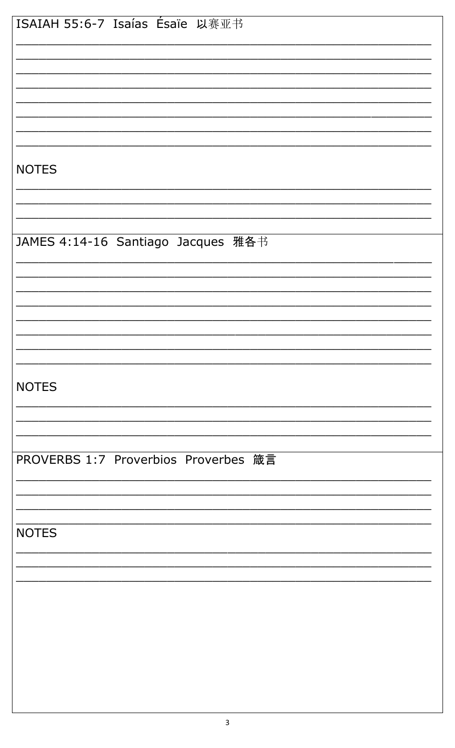| ISAIAH 55:6-7 Isaías Ésaïe 以赛亚书      |
|--------------------------------------|
|                                      |
|                                      |
|                                      |
|                                      |
|                                      |
|                                      |
|                                      |
|                                      |
|                                      |
|                                      |
| <b>NOTES</b>                         |
|                                      |
|                                      |
|                                      |
|                                      |
| JAMES 4:14-16 Santiago Jacques 雅各书   |
|                                      |
|                                      |
|                                      |
|                                      |
|                                      |
|                                      |
|                                      |
|                                      |
|                                      |
|                                      |
| <b>NOTES</b>                         |
|                                      |
|                                      |
|                                      |
|                                      |
|                                      |
| PROVERBS 1:7 Proverbios Proverbes 箴言 |
|                                      |
|                                      |
|                                      |
|                                      |
| <b>NOTES</b>                         |
|                                      |
|                                      |
|                                      |
|                                      |
|                                      |
|                                      |
|                                      |
|                                      |
|                                      |
|                                      |
|                                      |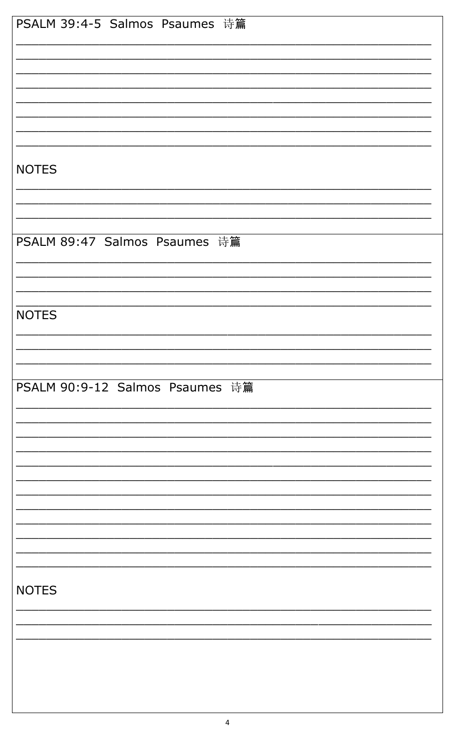| PSALM 39:4-5 Salmos Psaumes 诗篇  |
|---------------------------------|
|                                 |
|                                 |
|                                 |
|                                 |
|                                 |
|                                 |
|                                 |
|                                 |
|                                 |
|                                 |
|                                 |
|                                 |
| <b>NOTES</b>                    |
|                                 |
|                                 |
|                                 |
|                                 |
|                                 |
|                                 |
| PSALM 89:47 Salmos Psaumes 诗篇   |
|                                 |
|                                 |
|                                 |
|                                 |
|                                 |
|                                 |
| <b>NOTES</b>                    |
|                                 |
|                                 |
|                                 |
|                                 |
|                                 |
|                                 |
|                                 |
| PSALM 90:9-12 Salmos Psaumes 诗篇 |
|                                 |
|                                 |
|                                 |
|                                 |
|                                 |
|                                 |
|                                 |
|                                 |
|                                 |
|                                 |
|                                 |
|                                 |
|                                 |
|                                 |
|                                 |
|                                 |
|                                 |
|                                 |
| <b>NOTES</b>                    |
|                                 |
|                                 |
|                                 |
|                                 |
|                                 |
|                                 |
|                                 |
|                                 |
|                                 |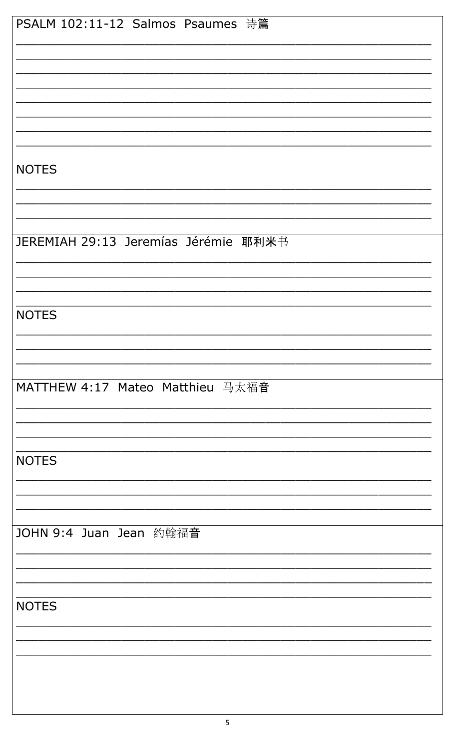| PSALM 102:11-12 Salmos Psaumes 诗篇    |
|--------------------------------------|
|                                      |
|                                      |
|                                      |
|                                      |
|                                      |
|                                      |
|                                      |
|                                      |
|                                      |
| <b>NOTES</b>                         |
|                                      |
|                                      |
|                                      |
|                                      |
|                                      |
| JEREMIAH 29:13 Jeremías Jérémie 耶利米书 |
|                                      |
|                                      |
|                                      |
|                                      |
| <b>NOTES</b>                         |
|                                      |
|                                      |
|                                      |
|                                      |
| MATTHEW 4:17 Mateo Matthieu 马太福音     |
|                                      |
|                                      |
|                                      |
|                                      |
|                                      |
| <b>NOTES</b>                         |
|                                      |
|                                      |
|                                      |
|                                      |
| JOHN 9:4 Juan Jean 约翰福音              |
|                                      |
|                                      |
|                                      |
|                                      |
| <b>NOTES</b>                         |
|                                      |
|                                      |
|                                      |
|                                      |
|                                      |
|                                      |
|                                      |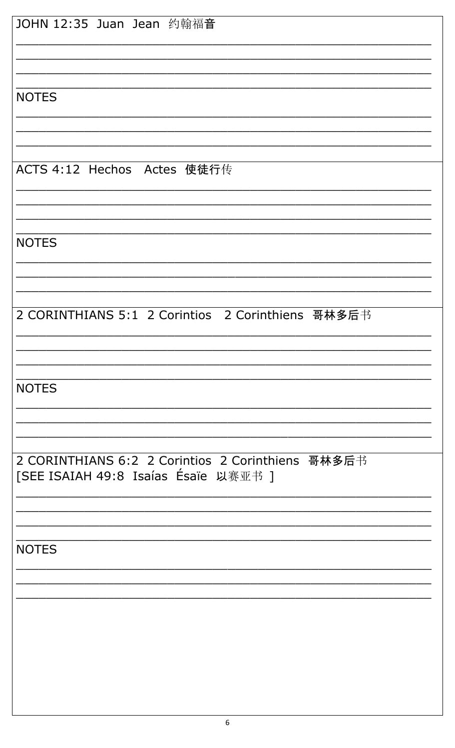| JOHN 12:35 Juan Jean 约翰福音                         |
|---------------------------------------------------|
|                                                   |
|                                                   |
|                                                   |
|                                                   |
| <b>NOTES</b>                                      |
|                                                   |
|                                                   |
|                                                   |
| ACTS 4:12 Hechos Actes 使徒行传                       |
|                                                   |
|                                                   |
|                                                   |
| <b>NOTES</b>                                      |
|                                                   |
|                                                   |
|                                                   |
| 2 CORINTHIANS 5:1 2 Corintios 2 Corinthiens 哥林多后书 |
|                                                   |
|                                                   |
|                                                   |
| <b>NOTES</b>                                      |
|                                                   |
|                                                   |
|                                                   |
| 2 CORINTHIANS 6:2 2 Corintios 2 Corinthiens 哥林多后书 |
| [SEE ISAIAH 49:8 Isaías Ésaïe 以赛亚书 ]              |
|                                                   |
|                                                   |
|                                                   |
|                                                   |
| <b>NOTES</b>                                      |
|                                                   |
|                                                   |
|                                                   |
|                                                   |
|                                                   |
|                                                   |
|                                                   |
|                                                   |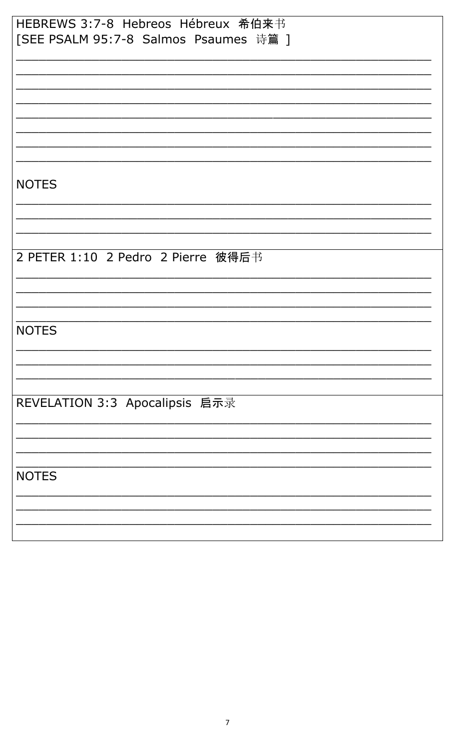| HEBREWS 3:7-8 Hebreos Hébreux 希伯来书    |
|---------------------------------------|
| [SEE PSALM 95:7-8 Salmos Psaumes 诗篇 ] |
|                                       |
|                                       |
|                                       |
|                                       |
|                                       |
|                                       |
|                                       |
|                                       |
| <b>NOTES</b>                          |
|                                       |
|                                       |
|                                       |
|                                       |
| 2 PETER 1:10 2 Pedro 2 Pierre 彼得后书    |
|                                       |
|                                       |
|                                       |
|                                       |
| <b>NOTES</b>                          |
|                                       |
|                                       |
|                                       |
| REVELATION 3:3 Apocalipsis 启示录        |
|                                       |
|                                       |
|                                       |
|                                       |
| <b>NOTES</b>                          |
|                                       |
|                                       |
|                                       |
|                                       |